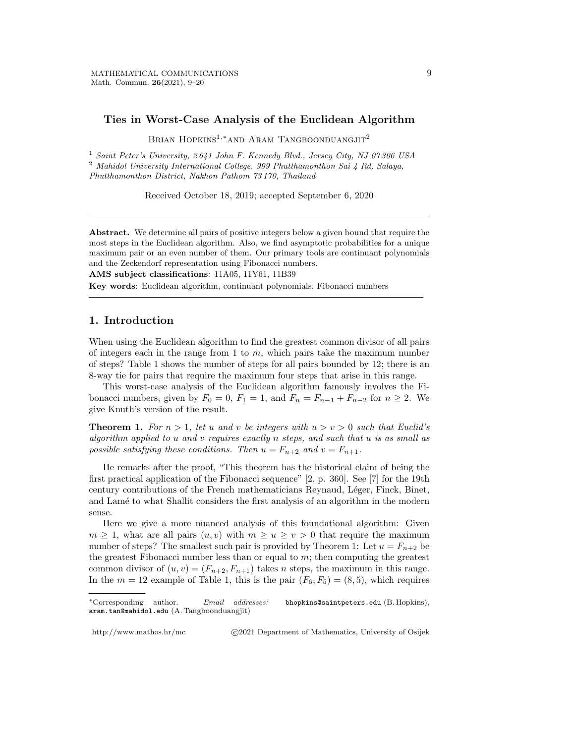## Ties in Worst-Case Analysis of the Euclidean Algorithm

BRIAN HOPKINS<sup>1,</sup>\*AND ARAM TANGBOONDUANGJIT<sup>2</sup>

<sup>1</sup> Saint Peter's University, 2641 John F. Kennedy Blvd., Jersey City, NJ 07306 USA  $^2$ Mahidol University International College, 999 Phutthamonthon Sai  $\downarrow$  Rd, Salaya, Phutthamonthon District, Nakhon Pathom 73 170, Thailand

Received October 18, 2019; accepted September 6, 2020

Abstract. We determine all pairs of positive integers below a given bound that require the most steps in the Euclidean algorithm. Also, we find asymptotic probabilities for a unique maximum pair or an even number of them. Our primary tools are continuant polynomials and the Zeckendorf representation using Fibonacci numbers.

AMS subject classifications: 11A05, 11Y61, 11B39

Key words: Euclidean algorithm, continuant polynomials, Fibonacci numbers

## 1. Introduction

When using the Euclidean algorithm to find the greatest common divisor of all pairs of integers each in the range from 1 to  $m$ , which pairs take the maximum number of steps? Table 1 shows the number of steps for all pairs bounded by 12; there is an 8-way tie for pairs that require the maximum four steps that arise in this range.

This worst-case analysis of the Euclidean algorithm famously involves the Fibonacci numbers, given by  $F_0 = 0$ ,  $F_1 = 1$ , and  $F_n = F_{n-1} + F_{n-2}$  for  $n \ge 2$ . We give Knuth's version of the result.

**Theorem 1.** For  $n > 1$ , let u and v be integers with  $u > v > 0$  such that Euclid's algorithm applied to u and v requires exactly n steps, and such that u is as small as possible satisfying these conditions. Then  $u = F_{n+2}$  and  $v = F_{n+1}$ .

He remarks after the proof, "This theorem has the historical claim of being the first practical application of the Fibonacci sequence" [2, p. 360]. See [7] for the 19th century contributions of the French mathematicians Reynaud, Léger, Finck, Binet, and Lam´e to what Shallit considers the first analysis of an algorithm in the modern sense.

Here we give a more nuanced analysis of this foundational algorithm: Given  $m \geq 1$ , what are all pairs  $(u, v)$  with  $m \geq u \geq v > 0$  that require the maximum number of steps? The smallest such pair is provided by Theorem 1: Let  $u = F_{n+2}$  be the greatest Fibonacci number less than or equal to  $m$ ; then computing the greatest common divisor of  $(u, v) = (F_{n+2}, F_{n+1})$  takes *n* steps, the maximum in this range. In the  $m = 12$  example of Table 1, this is the pair  $(F_6, F_5) = (8, 5)$ , which requires

http://www.mathos.hr/mc c 2021 Department of Mathematics, University of Osijek

<sup>∗</sup>Corresponding author. Email addresses: bhopkins@saintpeters.edu (B. Hopkins), aram.tan@mahidol.edu (A. Tangboonduangjit)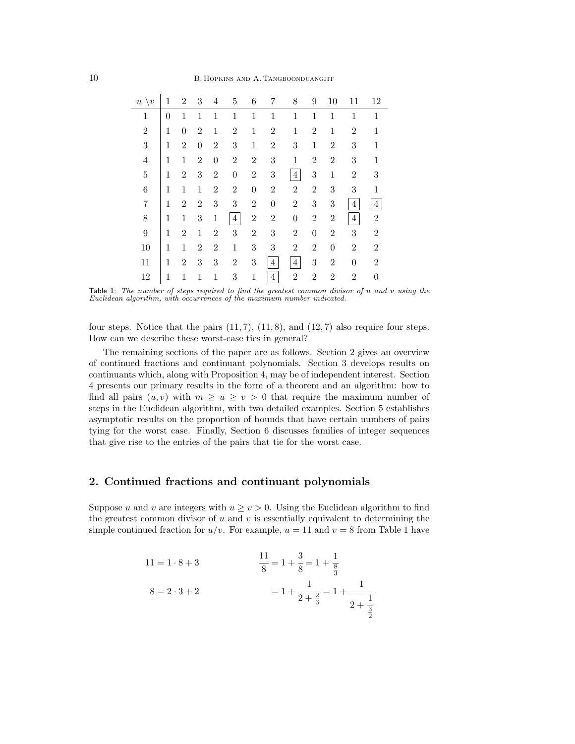| $u \setminus v$ | 1        | $\overline{2}$   | 3                | 4                | 5                | 6                | 7                | 8              | 9                | 10               | 11             | 12             |
|-----------------|----------|------------------|------------------|------------------|------------------|------------------|------------------|----------------|------------------|------------------|----------------|----------------|
| 1               | $\theta$ | 1                | 1                | 1                | 1                | $\mathbf 1$      | 1                | 1              | $\mathbf{1}$     | 1                | 1              | 1              |
| $\overline{2}$  | 1        | $\boldsymbol{0}$ | $\overline{2}$   | 1                | $\overline{2}$   | $\mathbf{1}$     | $\overline{2}$   | 1              | $\overline{2}$   | $\mathbf{1}$     | $\overline{2}$ | 1              |
| 3               | 1        | $\overline{2}$   | $\boldsymbol{0}$ | $\overline{2}$   | 3                | $\mathbf{1}$     | $\overline{2}$   | 3              | $\mathbf{1}$     | $\overline{2}$   | 3              | $\mathbf{1}$   |
| 4               | 1        | $\mathbf{1}$     | $\boldsymbol{2}$ | $\boldsymbol{0}$ | $\overline{2}$   | $\overline{2}$   | 3                | $\mathbf 1$    | $\overline{2}$   | $\overline{2}$   | 3              | 1              |
| $\overline{5}$  | 1        | $\boldsymbol{2}$ | 3                | $\overline{2}$   | $\boldsymbol{0}$ | $\overline{2}$   | 3                | 4              | 3                | $\mathbf{1}$     | $\overline{2}$ | 3              |
| 6               | 1        | $\mathbf{1}$     | $\mathbf 1$      | $\overline{2}$   | $\overline{2}$   | $\boldsymbol{0}$ | $\overline{2}$   | $\overline{2}$ | $\overline{2}$   | 3                | 3              | 1              |
| 7               | 1        | $\overline{2}$   | $\overline{2}$   | 3                | 3                | $\overline{2}$   | $\boldsymbol{0}$ | $\overline{2}$ | 3                | 3                | 4              | $\overline{4}$ |
| 8               | 1        | $\mathbf{1}$     | $\sqrt{3}$       | $\mathbf 1$      | $\overline{4}$   | $\overline{2}$   | $\overline{2}$   | 0              | $\overline{2}$   | 2                | 4              | $\overline{2}$ |
| 9               | 1        | $\overline{2}$   | 1                | $\overline{2}$   | 3                | $\overline{2}$   | 3                | $\overline{2}$ | $\boldsymbol{0}$ | 2                | 3              | $\overline{2}$ |
| 10              | 1        | 1                | $\overline{2}$   | $\overline{2}$   | 1                | 3                | 3                | $\overline{2}$ | $\overline{2}$   | $\boldsymbol{0}$ | $\overline{2}$ | $\overline{2}$ |
| 11              | 1        | $\overline{2}$   | 3                | 3                | $\overline{2}$   | 3                | 4                | $\overline{4}$ | 3                | $\overline{2}$   | $\theta$       | $\overline{2}$ |
| 12              | 1        | 1                | 1                | 1                | 3                | $\mathbf{1}$     | $\overline{4}$   | $\overline{2}$ | $\overline{2}$   | $\overline{2}$   | $\overline{2}$ | $\Omega$       |

Table 1: The number of steps required to find the greatest common divisor of u and v using the Euclidean algorithm, with occurrences of the maximum number indicated.

four steps. Notice that the pairs  $(11, 7)$ ,  $(11, 8)$ , and  $(12, 7)$  also require four steps. How can we describe these worst-case ties in general?

The remaining sections of the paper are as follows. Section 2 gives an overview of continued fractions and continuant polynomials. Section 3 develops results on continuants which, along with Proposition 4, may be of independent interest. Section 4 presents our primary results in the form of a theorem and an algorithm: how to find all pairs  $(u, v)$  with  $m \geq u \geq v > 0$  that require the maximum number of steps in the Euclidean algorithm, with two detailed examples. Section 5 establishes asymptotic results on the proportion of bounds that have certain numbers of pairs tying for the worst case. Finally, Section 6 discusses families of integer sequences that give rise to the entries of the pairs that tie for the worst case.

# 2. Continued fractions and continuant polynomials

Suppose u and v are integers with  $u \ge v > 0$ . Using the Euclidean algorithm to find the greatest common divisor of  $u$  and  $v$  is essentially equivalent to determining the simple continued fraction for  $u/v$ . For example,  $u = 11$  and  $v = 8$  from Table 1 have

11 = 1 · 8 + 3  
\n
$$
\frac{11}{8} = 1 + \frac{3}{8} = 1 + \frac{1}{\frac{8}{3}}
$$
\n
$$
8 = 2 \cdot 3 + 2
$$
\n
$$
1 + \frac{1}{2 + \frac{2}{3}} = 1 + \frac{1}{2 + \frac{1}{\frac{3}{2}}}
$$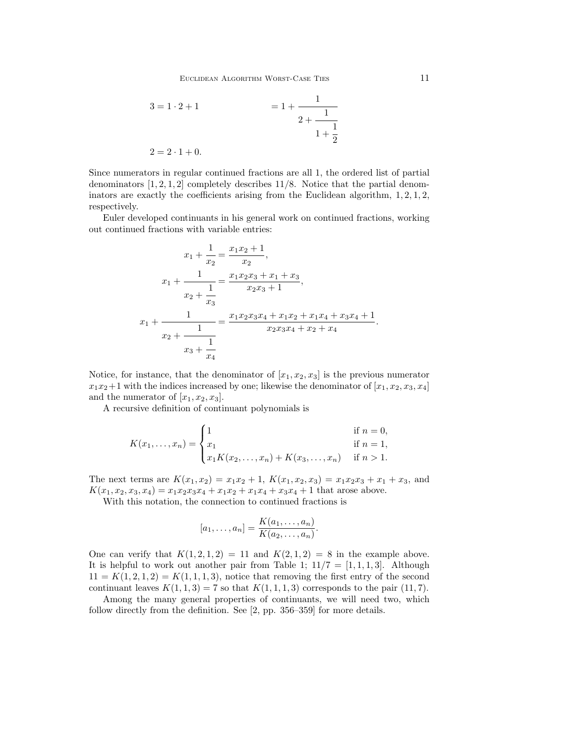$$
3 = 1 \cdot 2 + 1 = 1 + \frac{1}{2 + \frac{1}{1 + \frac{1}{2}}}
$$
  

$$
2 = 2 \cdot 1 + 0.
$$

Since numerators in regular continued fractions are all 1, the ordered list of partial denominators  $[1, 2, 1, 2]$  completely describes 11/8. Notice that the partial denominators are exactly the coefficients arising from the Euclidean algorithm,  $1, 2, 1, 2$ , respectively.

Euler developed continuants in his general work on continued fractions, working out continued fractions with variable entries:

$$
x_1 + \frac{1}{x_2} = \frac{x_1 x_2 + 1}{x_2},
$$
  
\n
$$
x_1 + \frac{1}{x_2 + \frac{1}{x_3}} = \frac{x_1 x_2 x_3 + x_1 + x_3}{x_2 x_3 + 1},
$$
  
\n
$$
x_1 + \frac{1}{x_1 + \frac{1}{x_2 + \frac{1}{x_3}}} = \frac{x_1 x_2 x_3 x_4 + x_1 x_2 + x_1 x_4 + x_3 x_4 + 1}{x_2 x_3 x_4 + x_2 + x_4}.
$$

Notice, for instance, that the denominator of  $[x_1, x_2, x_3]$  is the previous numerator  $x_1x_2+1$  with the indices increased by one; likewise the denominator of  $[x_1, x_2, x_3, x_4]$ and the numerator of  $[x_1, x_2, x_3]$ .

A recursive definition of continuant polynomials is

$$
K(x_1, ..., x_n) = \begin{cases} 1 & \text{if } n = 0, \\ x_1 & \text{if } n = 1, \\ x_1 K(x_2, ..., x_n) + K(x_3, ..., x_n) & \text{if } n > 1. \end{cases}
$$

The next terms are  $K(x_1, x_2) = x_1x_2 + 1$ ,  $K(x_1, x_2, x_3) = x_1x_2x_3 + x_1 + x_3$ , and  $K(x_1, x_2, x_3, x_4) = x_1x_2x_3x_4 + x_1x_2 + x_1x_4 + x_3x_4 + 1$  that arose above.

With this notation, the connection to continued fractions is

$$
[a_1,\ldots,a_n] = \frac{K(a_1,\ldots,a_n)}{K(a_2,\ldots,a_n)}.
$$

One can verify that  $K(1, 2, 1, 2) = 11$  and  $K(2, 1, 2) = 8$  in the example above. It is helpful to work out another pair from Table 1;  $11/7 = [1, 1, 1, 3]$ . Although  $11 = K(1, 2, 1, 2) = K(1, 1, 1, 3)$ , notice that removing the first entry of the second continuant leaves  $K(1,1,3) = 7$  so that  $K(1,1,1,3)$  corresponds to the pair  $(11,7)$ .

Among the many general properties of continuants, we will need two, which follow directly from the definition. See [2, pp. 356–359] for more details.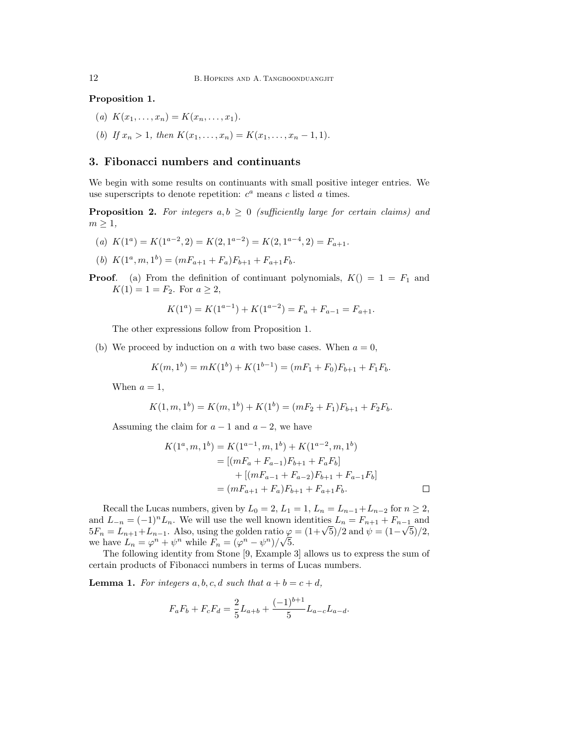Proposition 1.

- (a)  $K(x_1, \ldots, x_n) = K(x_n, \ldots, x_1).$
- (b) If  $x_n > 1$ , then  $K(x_1, \ldots, x_n) = K(x_1, \ldots, x_n 1, 1)$ .

# 3. Fibonacci numbers and continuants

We begin with some results on continuants with small positive integer entries. We use superscripts to denote repetition:  $c^a$  means c listed a times.

**Proposition 2.** For integers  $a, b \geq 0$  (sufficiently large for certain claims) and  $m \geq 1$ ,

- (a)  $K(1^a) = K(1^{a-2}, 2) = K(2, 1^{a-2}) = K(2, 1^{a-4}, 2) = F_{a+1}.$
- (b)  $K(1^a, m, 1^b) = (mF_{a+1} + F_a)F_{b+1} + F_{a+1}F_b.$

**Proof.** (a) From the definition of continuant polynomials,  $K() = 1 = F_1$  and  $K(1) = 1 = F_2$ . For  $a \geq 2$ ,

$$
K(1a) = K(1a-1) + K(1a-2) = Fa + Fa-1 = Fa+1.
$$

The other expressions follow from Proposition 1.

(b) We proceed by induction on a with two base cases. When  $a = 0$ ,

$$
K(m,1b) = mK(1b) + K(1b-1) = (mF1 + F0)Fb+1 + F1Fb.
$$

When  $a = 1$ ,

$$
K(1, m, 1b) = K(m, 1b) + K(1b) = (mF2 + F1)Fb+1 + F2Fb.
$$

Assuming the claim for  $a - 1$  and  $a - 2$ , we have

$$
K(1^a, m, 1^b) = K(1^{a-1}, m, 1^b) + K(1^{a-2}, m, 1^b)
$$
  
= 
$$
[(mF_a + F_{a-1})F_{b+1} + F_aF_b]
$$
  
+ 
$$
[(mF_{a-1} + F_{a-2})F_{b+1} + F_{a-1}F_b]
$$
  
= 
$$
(mF_{a+1} + F_a)F_{b+1} + F_{a+1}F_b.
$$

Recall the Lucas numbers, given by  $L_0 = 2$ ,  $L_1 = 1$ ,  $L_n = L_{n-1} + L_{n-2}$  for  $n \ge 2$ , and  $L_{-n} = (-1)^n L_n$ . We will use the well known identities  $L_n = F_{n+1} + F_{n-1}$  and and  $L_{-n} = (-1)^n L_n$ . We will use the well known identities  $L_n = F_{n+1} + F_{n-1}$  and  $5F_n = L_{n+1} + L_{n-1}$ . Also, using the golden ratio  $\varphi = (1 + \sqrt{5})/2$  and  $\psi = (1 - \sqrt{5})/2$ , we have  $L_n = \varphi^n + \psi^n$  while  $F_n = (\varphi^n - \psi^n)/\sqrt{5}$ .

The following identity from Stone [9, Example 3] allows us to express the sum of certain products of Fibonacci numbers in terms of Lucas numbers.

**Lemma 1.** For integers a, b, c, d such that  $a + b = c + d$ ,

$$
F_a F_b + F_c F_d = \frac{2}{5} L_{a+b} + \frac{(-1)^{b+1}}{5} L_{a-c} L_{a-d}.
$$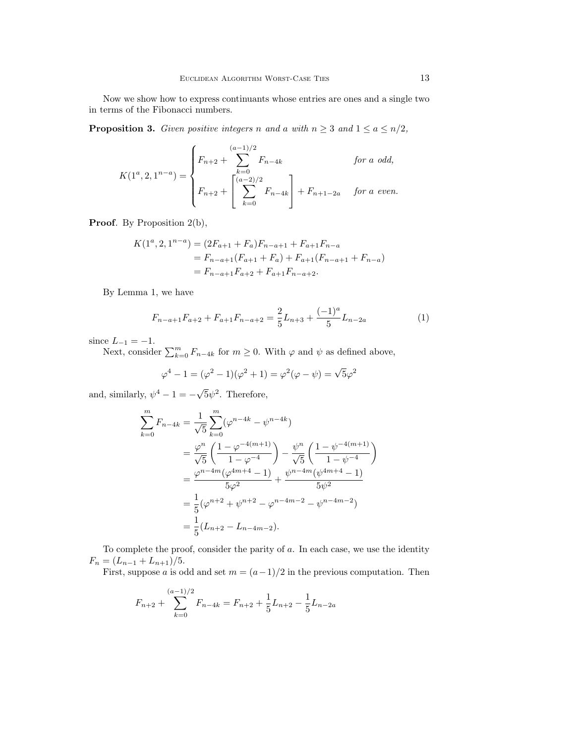Now we show how to express continuants whose entries are ones and a single two in terms of the Fibonacci numbers.

**Proposition 3.** Given positive integers n and a with  $n \geq 3$  and  $1 \leq a \leq n/2$ ,

$$
K(1^a, 2, 1^{n-a}) = \begin{cases} F_{n+2} + \sum_{k=0}^{(a-1)/2} F_{n-4k} & \text{for a odd,} \\ F_{n+2} + \left[ \sum_{k=0}^{(a-2)/2} F_{n-4k} \right] + F_{n+1-2a} & \text{for a even.} \end{cases}
$$

Proof. By Proposition 2(b),

$$
K(1^a, 2, 1^{n-a}) = (2F_{a+1} + F_a)F_{n-a+1} + F_{a+1}F_{n-a}
$$
  
=  $F_{n-a+1}(F_{a+1} + F_a) + F_{a+1}(F_{n-a+1} + F_{n-a})$   
=  $F_{n-a+1}F_{a+2} + F_{a+1}F_{n-a+2}$ .

By Lemma 1, we have

$$
F_{n-a+1}F_{a+2} + F_{a+1}F_{n-a+2} = \frac{2}{5}L_{n+3} + \frac{(-1)^a}{5}L_{n-2a}
$$
 (1)

since  $L_{-1} = -1$ .

Next, consider  $\sum_{k=0}^{m} F_{n-4k}$  for  $m \geq 0$ . With  $\varphi$  and  $\psi$  as defined above,

$$
\varphi^{4} - 1 = (\varphi^{2} - 1)(\varphi^{2} + 1) = \varphi^{2}(\varphi - \psi) = \sqrt{5}\varphi^{2}
$$

and, similarly,  $\psi^4 - 1 = -\sqrt{ }$  $\overline{5}\psi^2$ . Therefore,

$$
\sum_{k=0}^{m} F_{n-4k} = \frac{1}{\sqrt{5}} \sum_{k=0}^{m} (\varphi^{n-4k} - \psi^{n-4k})
$$
  
=  $\frac{\varphi^n}{\sqrt{5}} \left( \frac{1 - \varphi^{-4(m+1)}}{1 - \varphi^{-4}} \right) - \frac{\psi^n}{\sqrt{5}} \left( \frac{1 - \psi^{-4(m+1)}}{1 - \psi^{-4}} \right)$   
=  $\frac{\varphi^{n-4m} (\varphi^{4m+4} - 1)}{5\varphi^2} + \frac{\psi^{n-4m} (\psi^{4m+4} - 1)}{5\psi^2}$   
=  $\frac{1}{5} (\varphi^{n+2} + \psi^{n+2} - \varphi^{n-4m-2} - \psi^{n-4m-2})$   
=  $\frac{1}{5} (L_{n+2} - L_{n-4m-2}).$ 

To complete the proof, consider the parity of a. In each case, we use the identity  $F_n = (L_{n-1} + L_{n+1})/5.$ 

First, suppose a is odd and set  $m = (a-1)/2$  in the previous computation. Then

$$
F_{n+2} + \sum_{k=0}^{(a-1)/2} F_{n-4k} = F_{n+2} + \frac{1}{5}L_{n+2} - \frac{1}{5}L_{n-2a}
$$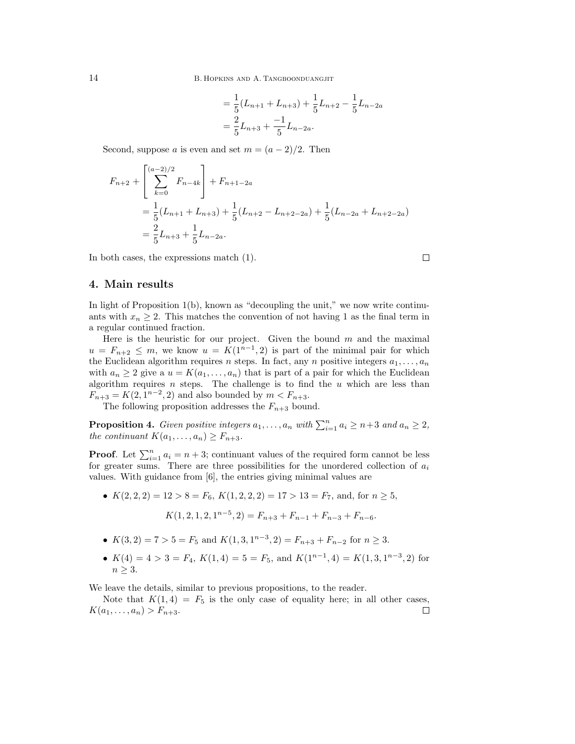14 B. HOPKINS AND A. TANGBOONDUANGJIT

$$
= \frac{1}{5}(L_{n+1} + L_{n+3}) + \frac{1}{5}L_{n+2} - \frac{1}{5}L_{n-2a}
$$
  
=  $\frac{2}{5}L_{n+3} + \frac{-1}{5}L_{n-2a}$ .

Second, suppose a is even and set  $m = (a-2)/2$ . Then

$$
F_{n+2} + \left[\sum_{k=0}^{(a-2)/2} F_{n-4k}\right] + F_{n+1-2a}
$$
  
=  $\frac{1}{5}(L_{n+1} + L_{n+3}) + \frac{1}{5}(L_{n+2} - L_{n+2-2a}) + \frac{1}{5}(L_{n-2a} + L_{n+2-2a})$   
=  $\frac{2}{5}L_{n+3} + \frac{1}{5}L_{n-2a}.$ 

In both cases, the expressions match (1).

### 4. Main results

In light of Proposition 1(b), known as "decoupling the unit," we now write continuants with  $x_n \geq 2$ . This matches the convention of not having 1 as the final term in a regular continued fraction.

Here is the heuristic for our project. Given the bound  $m$  and the maximal  $u = F_{n+2} \leq m$ , we know  $u = K(1^{n-1}, 2)$  is part of the minimal pair for which the Euclidean algorithm requires n steps. In fact, any n positive integers  $a_1, \ldots, a_n$ with  $a_n \geq 2$  give a  $u = K(a_1, \ldots, a_n)$  that is part of a pair for which the Euclidean algorithm requires n steps. The challenge is to find the  $u$  which are less than  $F_{n+3} = K(2, 1^{n-2}, 2)$  and also bounded by  $m < F_{n+3}$ .

The following proposition addresses the  $F_{n+3}$  bound.

**Proposition 4.** Given positive integers  $a_1, \ldots, a_n$  with  $\sum_{i=1}^n a_i \geq n+3$  and  $a_n \geq 2$ , the continuant  $K(a_1, \ldots, a_n) \geq F_{n+3}$ .

**Proof.** Let  $\sum_{i=1}^{n} a_i = n + 3$ ; continuant values of the required form cannot be less for greater sums. There are three possibilities for the unordered collection of  $a_i$ values. With guidance from [6], the entries giving minimal values are

•  $K(2, 2, 2) = 12 > 8 = F_6$ ,  $K(1, 2, 2, 2) = 17 > 13 = F_7$ , and, for  $n \ge 5$ ,  $K(1, 2, 1, 2, 1^{n-5}, 2) = F_{n+3} + F_{n-1} + F_{n-3} + F_{n-6}.$ 

• 
$$
K(3,2) = 7 > 5 = F_5
$$
 and  $K(1,3,1^{n-3},2) = F_{n+3} + F_{n-2}$  for  $n \ge 3$ .

•  $K(4) = 4 > 3 = F_4$ ,  $K(1, 4) = 5 = F_5$ , and  $K(1^{n-1}, 4) = K(1, 3, 1^{n-3}, 2)$  for  $n \geq 3$ .

We leave the details, similar to previous propositions, to the reader.

Note that  $K(1,4) = F_5$  is the only case of equality here; in all other cases,  $K(a_1, \ldots, a_n) > F_{n+3}.$  $\Box$ 

 $\Box$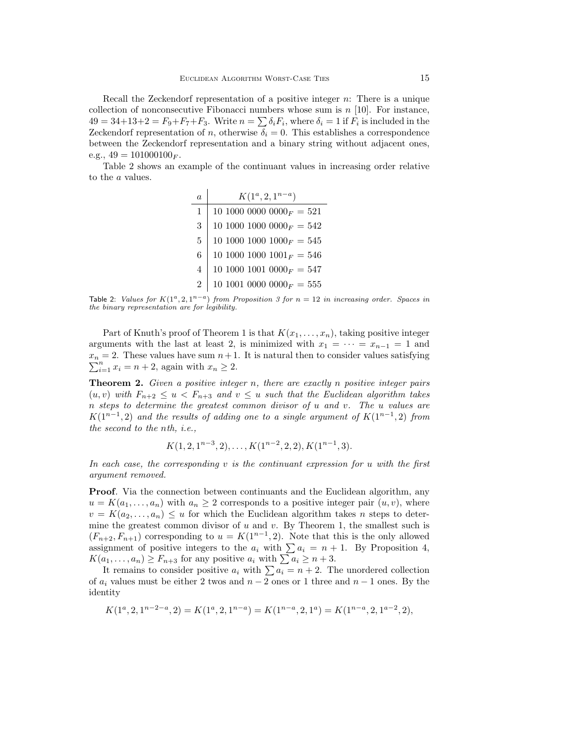Recall the Zeckendorf representation of a positive integer n: There is a unique collection of nonconsecutive Fibonacci numbers whose sum is  $n$  [10]. For instance,  $49 = 34+13+2 = F_9 + F_7 + F_3$ . Write  $n = \sum \delta_i F_i$ , where  $\delta_i = 1$  if  $F_i$  is included in the Zeckendorf representation of n, otherwise  $\delta_i = 0$ . This establishes a correspondence between the Zeckendorf representation and a binary string without adjacent ones, e.g.,  $49 = 101000100_F$ .

Table 2 shows an example of the continuant values in increasing order relative to the a values.

| a              | $K(1^a, 2, 1^{n-a})$         |
|----------------|------------------------------|
| $\mathbf{1}$   | 10 1000 0000 $0000_F = 521$  |
| 3              | 10 1000 1000 $0000_F = 542$  |
| 5              | 10 1000 1000 $1000_F = 545$  |
| 6              | 10 1000 1000 $1001_F = 546$  |
| $\overline{4}$ | 10 1000 1001 0000 $_F = 547$ |
| $\mathfrak{D}$ | 10 1001 0000 $0000_F = 555$  |

Table 2: Values for  $K(1^a, 2, 1^{n-a})$  from Proposition 3 for  $n = 12$  in increasing order. Spaces in the binary representation are for legibility.

Part of Knuth's proof of Theorem 1 is that  $K(x_1, \ldots, x_n)$ , taking positive integer arguments with the last at least 2, is minimized with  $x_1 = \cdots = x_{n-1} = 1$  and  $x_n = 2$ . These values have sum  $n+1$ . It is natural then to consider values satisfying  $\sum_{i=1}^n x_i = n+2$ , again with  $x_n \ge 2$ .  $_{i=1}^{n} x_i = n+2$ , again with  $x_n \geq 2$ .

**Theorem 2.** Given a positive integer n, there are exactly n positive integer pairs  $(u, v)$  with  $F_{n+2} \leq u \leq F_{n+3}$  and  $v \leq u$  such that the Euclidean algorithm takes n steps to determine the greatest common divisor of u and v. The u values are  $K(1^{n-1}, 2)$  and the results of adding one to a single argument of  $K(1^{n-1}, 2)$  from the second to the nth, i.e.,

$$
K(1, 2, 1^{n-3}, 2), \ldots, K(1^{n-2}, 2, 2), K(1^{n-1}, 3).
$$

In each case, the corresponding v is the continuant expression for u with the first argument removed.

Proof. Via the connection between continuants and the Euclidean algorithm, any  $u = K(a_1, \ldots, a_n)$  with  $a_n \geq 2$  corresponds to a positive integer pair  $(u, v)$ , where  $v = K(a_2, \ldots, a_n) \leq u$  for which the Euclidean algorithm takes n steps to determine the greatest common divisor of  $u$  and  $v$ . By Theorem 1, the smallest such is  $(F_{n+2}, F_{n+1})$  corresponding to  $u = K(1^{n-1}, 2)$ . Note that this is the only allowed assignment of positive integers to the  $a_i$  with  $\sum a_i = n + 1$ . By Proposition 4,  $K(a_1, \ldots, a_n) \geq F_{n+3}$  for any positive  $a_i$  with  $\sum a_i \geq n+3$ .

It remains to consider positive  $a_i$  with  $\sum a_i = n + 2$ . The unordered collection of  $a_i$  values must be either 2 twos and  $n-2$  ones or 1 three and  $n-1$  ones. By the identity

$$
K(1^a, 2, 1^{n-2-a}, 2) = K(1^a, 2, 1^{n-a}) = K(1^{n-a}, 2, 1^a) = K(1^{n-a}, 2, 1^{a-2}, 2),
$$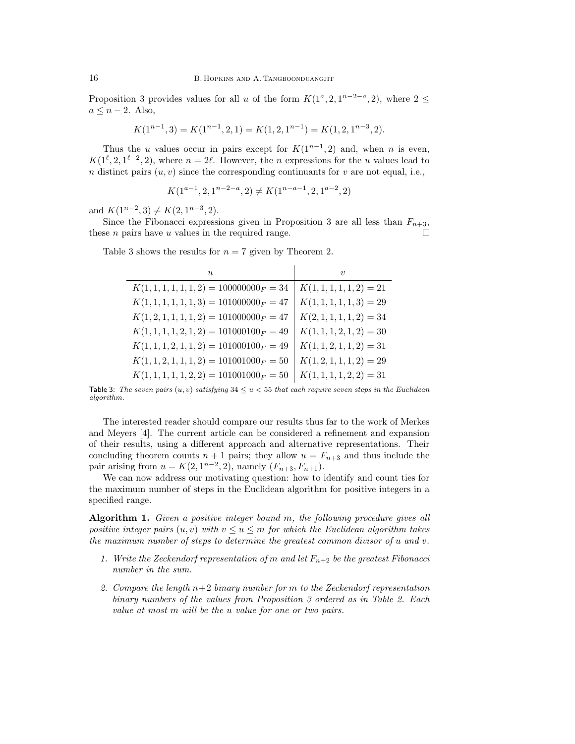Proposition 3 provides values for all u of the form  $K(1^a, 2, 1^{n-2-a}, 2)$ , where  $2 \le$  $a \leq n-2$ . Also,

$$
K(1^{n-1},3)=K(1^{n-1},2,1)=K(1,2,1^{n-1})=K(1,2,1^{n-3},2).
$$

Thus the u values occur in pairs except for  $K(1^{n-1}, 2)$  and, when n is even,  $K(1^{\ell}, 2, 1^{\ell-2}, 2)$ , where  $n = 2\ell$ . However, the *n* expressions for the *u* values lead to n distinct pairs  $(u, v)$  since the corresponding continuants for v are not equal, i.e.,

$$
K(1^{a-1}, 2, 1^{n-2-a}, 2) \neq K(1^{n-a-1}, 2, 1^{a-2}, 2)
$$

and  $K(1^{n-2},3) \neq K(2, 1^{n-3}, 2)$ .

Since the Fibonacci expressions given in Proposition 3 are all less than  $F_{n+3}$ , these  $n$  pairs have  $u$  values in the required range.  $\Box$ 

Table 3 shows the results for  $n = 7$  given by Theorem 2.

| U                                           | $\eta$                     |
|---------------------------------------------|----------------------------|
| $K(1, 1, 1, 1, 1, 1, 2) = 100000000_F = 34$ | $K(1, 1, 1, 1, 1, 2) = 21$ |
| $K(1, 1, 1, 1, 1, 1, 3) = 101000000_F = 47$ | $K(1, 1, 1, 1, 1, 3) = 29$ |
| $K(1,2,1,1,1,1,2) = 101000000_F = 47$       | $K(2,1,1,1,1,2) = 34$      |
| $K(1, 1, 1, 1, 2, 1, 2) = 101000100F = 49$  | $K(1, 1, 1, 2, 1, 2) = 30$ |
| $K(1, 1, 1, 2, 1, 1, 2) = 101000100F = 49$  | $K(1, 1, 2, 1, 1, 2) = 31$ |
| $K(1, 1, 2, 1, 1, 1, 2) = 101001000_F = 50$ | $K(1,2,1,1,1,2)=29$        |
| $K(1, 1, 1, 1, 1, 2, 2) = 101001000_F = 50$ | $K(1, 1, 1, 1, 2, 2) = 31$ |

Table 3: The seven pairs  $(u, v)$  satisfying  $34 \le u \le 55$  that each require seven steps in the Euclidean algorithm.

The interested reader should compare our results thus far to the work of Merkes and Meyers [4]. The current article can be considered a refinement and expansion of their results, using a different approach and alternative representations. Their concluding theorem counts  $n + 1$  pairs; they allow  $u = F_{n+3}$  and thus include the pair arising from  $u = K(2, 1^{n-2}, 2)$ , namely  $(F_{n+3}, F_{n+1})$ .

We can now address our motivating question: how to identify and count ties for the maximum number of steps in the Euclidean algorithm for positive integers in a specified range.

Algorithm 1. Given a positive integer bound m, the following procedure gives all positive integer pairs  $(u, v)$  with  $v \le u \le m$  for which the Euclidean algorithm takes the maximum number of steps to determine the greatest common divisor of u and v.

- 1. Write the Zeckendorf representation of m and let  $F_{n+2}$  be the greatest Fibonacci number in the sum.
- 2. Compare the length  $n+2$  binary number for m to the Zeckendorf representation binary numbers of the values from Proposition 3 ordered as in Table 2. Each value at most m will be the u value for one or two pairs.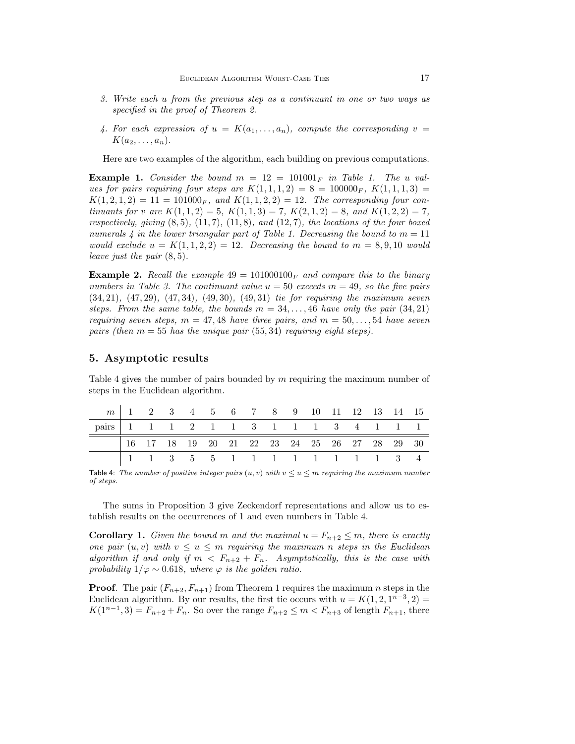- 3. Write each u from the previous step as a continuant in one or two ways as specified in the proof of Theorem 2.
- 4. For each expression of  $u = K(a_1, \ldots, a_n)$ , compute the corresponding  $v =$  $K(a_2, \ldots, a_n).$

Here are two examples of the algorithm, each building on previous computations.

**Example 1.** Consider the bound  $m = 12 = 101001<sub>F</sub>$  in Table 1. The u values for pairs requiring four steps are  $K(1, 1, 1, 2) = 8 = 100000_F$ ,  $K(1, 1, 1, 3) =$  $K(1, 2, 1, 2) = 11 = 101000_F$ , and  $K(1, 1, 2, 2) = 12$ . The corresponding four continuants for v are  $K(1,1,2) = 5$ ,  $K(1,1,3) = 7$ ,  $K(2,1,2) = 8$ , and  $K(1,2,2) = 7$ , respectively, giving  $(8, 5)$ ,  $(11, 7)$ ,  $(11, 8)$ , and  $(12, 7)$ , the locations of the four boxed numerals 4 in the lower triangular part of Table 1. Decreasing the bound to  $m = 11$ would exclude  $u = K(1, 1, 2, 2) = 12$ . Decreasing the bound to  $m = 8, 9, 10$  would leave just the pair (8, 5).

**Example 2.** Recall the example  $49 = 101000100<sub>F</sub>$  and compare this to the binary numbers in Table 3. The continuant value  $u = 50$  exceeds  $m = 49$ , so the five pairs (34, 21), (47, 29), (47, 34), (49, 30), (49, 31) tie for requiring the maximum seven steps. From the same table, the bounds  $m = 34, \ldots, 46$  have only the pair  $(34, 21)$ requiring seven steps,  $m = 47,48$  have three pairs, and  $m = 50, \ldots, 54$  have seven pairs (then  $m = 55$  has the unique pair (55, 34) requiring eight steps).

### 5. Asymptotic results

Table 4 gives the number of pairs bounded by  $m$  requiring the maximum number of steps in the Euclidean algorithm.

|                                       |  |  |  | $m$   1 2 3 4 5 6 7 8 9 10 11 12 13 14 15                                                                                          |  |  |  |  |
|---------------------------------------|--|--|--|------------------------------------------------------------------------------------------------------------------------------------|--|--|--|--|
| pairs   1 1 1 2 1 1 3 1 1 1 3 4 1 1 1 |  |  |  |                                                                                                                                    |  |  |  |  |
|                                       |  |  |  |                                                                                                                                    |  |  |  |  |
|                                       |  |  |  | $16 \quad 17 \quad 18 \quad 19 \quad 20 \quad 21 \quad 22 \quad 23 \quad 24 \quad 25 \quad 26 \quad 27 \quad 28 \quad 29 \quad 30$ |  |  |  |  |

Table 4: The number of positive integer pairs  $(u, v)$  with  $v \le u \le m$  requiring the maximum number of steps.

The sums in Proposition 3 give Zeckendorf representations and allow us to establish results on the occurrences of 1 and even numbers in Table 4.

**Corollary 1.** Given the bound m and the maximal  $u = F_{n+2} \leq m$ , there is exactly one pair  $(u, v)$  with  $v \leq u \leq m$  requiring the maximum n steps in the Euclidean algorithm if and only if  $m < F_{n+2} + F_n$ . Asymptotically, this is the case with probability  $1/\varphi \sim 0.618$ , where  $\varphi$  is the golden ratio.

**Proof.** The pair  $(F_{n+2}, F_{n+1})$  from Theorem 1 requires the maximum n steps in the Euclidean algorithm. By our results, the first tie occurs with  $u = K(1, 2, 1^{n-3}, 2) =$  $K(1^{n-1},3) = F_{n+2} + F_n$ . So over the range  $F_{n+2} \le m < F_{n+3}$  of length  $F_{n+1}$ , there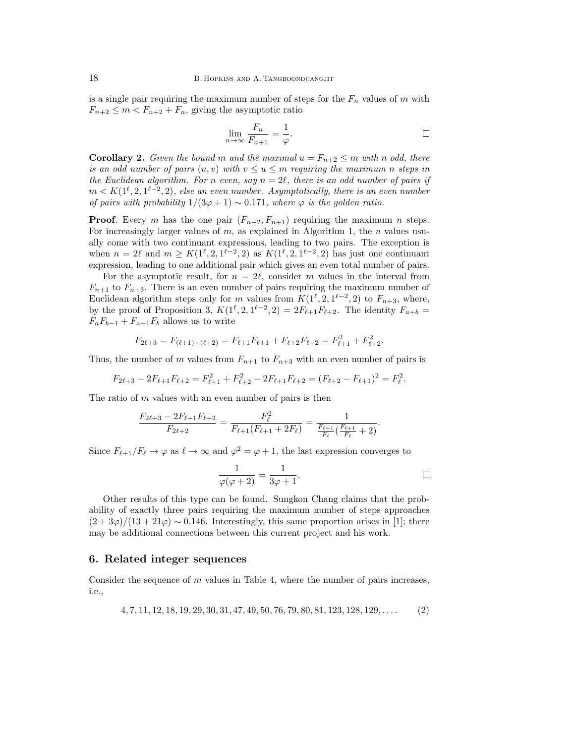is a single pair requiring the maximum number of steps for the  $F_n$  values of m with  $F_{n+2} \leq m < F_{n+2} + F_n$ , giving the asymptotic ratio

$$
\lim_{n \to \infty} \frac{F_n}{F_{n+1}} = \frac{1}{\varphi}.
$$

**Corollary 2.** Given the bound m and the maximal  $u = F_{n+2} \leq m$  with n odd, there is an odd number of pairs  $(u, v)$  with  $v \le u \le m$  requiring the maximum n steps in the Euclidean algorithm. For n even, say  $n = 2\ell$ , there is an odd number of pairs if  $m < K(1^{\ell}, 2, 1^{\ell-2}, 2)$ , else an even number. Asymptotically, there is an even number of pairs with probability  $1/(3\varphi + 1) \sim 0.171$ , where  $\varphi$  is the golden ratio.

**Proof.** Every m has the one pair  $(F_{n+2}, F_{n+1})$  requiring the maximum n steps. For increasingly larger values of  $m$ , as explained in Algorithm 1, the  $u$  values usually come with two continuant expressions, leading to two pairs. The exception is when  $n = 2\ell$  and  $m \geq K(1^{\ell}, 2, 1^{\ell-2}, 2)$  as  $K(1^{\ell}, 2, 1^{\ell-2}, 2)$  has just one continuant expression, leading to one additional pair which gives an even total number of pairs.

For the asymptotic result, for  $n = 2\ell$ , consider m values in the interval from  $F_{n+1}$  to  $F_{n+3}$ . There is an even number of pairs requiring the maximum number of Euclidean algorithm steps only for m values from  $K(1^{\ell}, 2, 1^{\ell-2}, 2)$  to  $F_{n+3}$ , where, by the proof of Proposition 3,  $K(1^{\ell}, 2, 1^{\ell-2}, 2) = 2F_{\ell+1}F_{\ell+2}$ . The identity  $F_{a+b} =$  $F_aF_{b-1} + F_{a+1}F_b$  allows us to write

$$
F_{2\ell+3} = F_{(\ell+1)+(\ell+2)} = F_{\ell+1}F_{\ell+1} + F_{\ell+2}F_{\ell+2} = F_{\ell+1}^2 + F_{\ell+2}^2.
$$

Thus, the number of m values from  $F_{n+1}$  to  $F_{n+3}$  with an even number of pairs is

$$
F_{2\ell+3} - 2F_{\ell+1}F_{\ell+2} = F_{\ell+1}^2 + F_{\ell+2}^2 - 2F_{\ell+1}F_{\ell+2} = (F_{\ell+2} - F_{\ell+1})^2 = F_{\ell}^2.
$$

The ratio of  $m$  values with an even number of pairs is then

$$
\frac{F_{2\ell+3} - 2F_{\ell+1}F_{\ell+2}}{F_{2\ell+2}} = \frac{F_{\ell}^2}{F_{\ell+1}(F_{\ell+1} + 2F_{\ell})} = \frac{1}{\frac{F_{\ell+1}}{F_{\ell}}(\frac{F_{\ell+1}}{F_{\ell}} + 2)}.
$$

Since  $F_{\ell+1}/F_{\ell} \to \varphi$  as  $\ell \to \infty$  and  $\varphi^2 = \varphi + 1$ , the last expression converges to

$$
\frac{1}{\varphi(\varphi+2)} = \frac{1}{3\varphi+1}.
$$

Other results of this type can be found. Sungkon Chang claims that the probability of exactly three pairs requiring the maximum number of steps approaches  $(2+3\varphi)/(13+21\varphi) \sim 0.146$ . Interestingly, this same proportion arises in [1]; there may be additional connections between this current project and his work.

#### 6. Related integer sequences

Consider the sequence of  $m$  values in Table 4, where the number of pairs increases, i.e.,

$$
4, 7, 11, 12, 18, 19, 29, 30, 31, 47, 49, 50, 76, 79, 80, 81, 123, 128, 129, \dots
$$
 (2)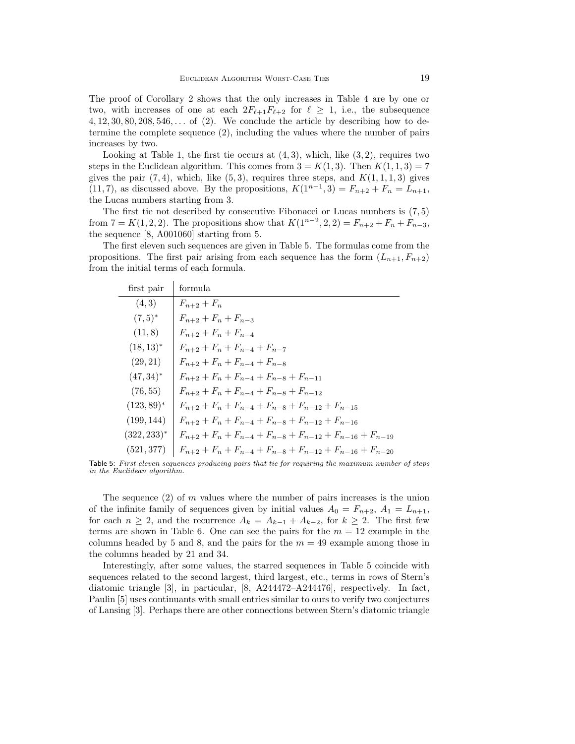The proof of Corollary 2 shows that the only increases in Table 4 are by one or two, with increases of one at each  $2F_{\ell+1}F_{\ell+2}$  for  $\ell \geq 1$ , i.e., the subsequence  $4, 12, 30, 80, 208, 546, \ldots$  of (2). We conclude the article by describing how to determine the complete sequence (2), including the values where the number of pairs increases by two.

Looking at Table 1, the first tie occurs at  $(4,3)$ , which, like  $(3,2)$ , requires two steps in the Euclidean algorithm. This comes from  $3 = K(1,3)$ . Then  $K(1,1,3) = 7$ gives the pair  $(7, 4)$ , which, like  $(5, 3)$ , requires three steps, and  $K(1, 1, 1, 3)$  gives (11, 7), as discussed above. By the propositions,  $K(1^{n-1},3) = F_{n+2} + F_n = L_{n+1}$ , the Lucas numbers starting from 3.

The first tie not described by consecutive Fibonacci or Lucas numbers is  $(7, 5)$ from  $7 = K(1, 2, 2)$ . The propositions show that  $K(1^{n-2}, 2, 2) = F_{n+2} + F_n + F_{n-3}$ , the sequence [8, A001060] starting from 5.

The first eleven such sequences are given in Table 5. The formulas come from the propositions. The first pair arising from each sequence has the form  $(L_{n+1}, F_{n+2})$ from the initial terms of each formula.

| first pair     | formula                                                              |
|----------------|----------------------------------------------------------------------|
| (4,3)          | $F_{n+2} + F_n$                                                      |
| $(7,5)^*$      | $F_{n+2} + F_n + F_{n-3}$                                            |
| (11, 8)        | $F_{n+2} + F_n + F_{n-4}$                                            |
| $(18, 13)^*$   | $F_{n+2} + F_n + F_{n-4} + F_{n-7}$                                  |
| (29, 21)       | $F_{n+2} + F_n + F_{n-4} + F_{n-8}$                                  |
| $(47, 34)^*$   | $F_{n+2} + F_n + F_{n-4} + F_{n-8} + F_{n-11}$                       |
| (76, 55)       | $F_{n+2} + F_n + F_{n-4} + F_{n-8} + F_{n-12}$                       |
| $(123, 89)^*$  | $F_{n+2} + F_n + F_{n-4} + F_{n-8} + F_{n-12} + F_{n-15}$            |
| (199, 144)     | $F_{n+2} + F_n + F_{n-4} + F_{n-8} + F_{n-12} + F_{n-16}$            |
| $(322, 233)^*$ | $F_{n+2} + F_n + F_{n-4} + F_{n-8} + F_{n-12} + F_{n-16} + F_{n-19}$ |
| (521, 377)     | $F_{n+2} + F_n + F_{n-4} + F_{n-8} + F_{n-12} + F_{n-16} + F_{n-20}$ |

Table 5: First eleven sequences producing pairs that tie for requiring the maximum number of steps in the Euclidean algorithm.

The sequence  $(2)$  of m values where the number of pairs increases is the union of the infinite family of sequences given by initial values  $A_0 = F_{n+2}$ ,  $A_1 = L_{n+1}$ , for each  $n \geq 2$ , and the recurrence  $A_k = A_{k-1} + A_{k-2}$ , for  $k \geq 2$ . The first few terms are shown in Table 6. One can see the pairs for the  $m = 12$  example in the columns headed by 5 and 8, and the pairs for the  $m = 49$  example among those in the columns headed by 21 and 34.

Interestingly, after some values, the starred sequences in Table 5 coincide with sequences related to the second largest, third largest, etc., terms in rows of Stern's diatomic triangle [3], in particular, [8, A244472–A244476], respectively. In fact, Paulin [5] uses continuants with small entries similar to ours to verify two conjectures of Lansing [3]. Perhaps there are other connections between Stern's diatomic triangle